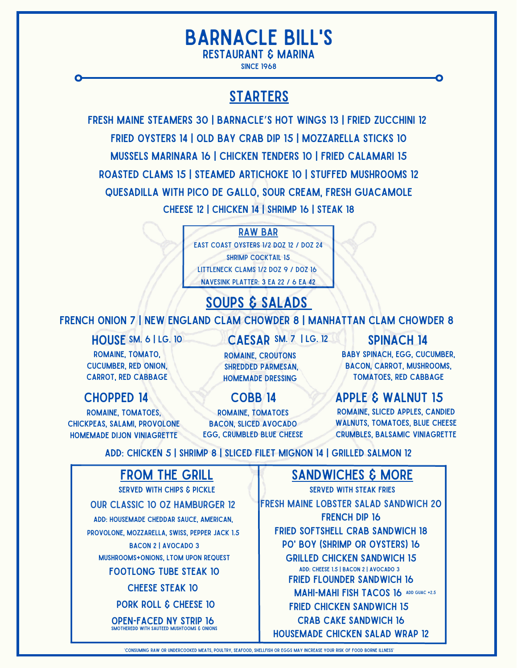# Barnacle Bill's

Restaurant & Marina

since 1968

## **STARTERS**

Fresh Maine Steamers 30 | Barnacle's Hot Wings 13 | Fried Zucchini 12 Fried Oysters 14 | Old Bay Crab Dip 15 | Mozzarella Sticks 10 Mussels Marinara 16 | chicken Tenders 10 | Fried Calamari 15 Roasted Clams 15 | Steamed Artichoke 10 | Stuffed Mushrooms 12 Quesadilla with Pico de Gallo, Sour Cream, Fresh Guacamole Cheese 12 | Chicken 14 | Shrimp 16 | Steak 18

Raw bar

EAST COAST OYSTERS 1/2 DOZ 12 / DOZ 24 shrimp cocktail 15 littleneck clams 1/2 doz 9 / doz 16 navesink platter: 3 ea 22 / 6 ea 42

# soups & salads

#### FRENCH ONION 7 | NEW ENGLAND CLAM CHOWDER 8 | MANHATTAN CLAM CHOWDER 8

HOUSE SM. 6 | LG. 10 CAESAR SM. 7 | LG. 12 SPINACH 14

romaine, tomato, cucumber, red onion, carrot, red cabbage

romaine, tomatoes, chickpeas, salami, provolone homemade dijon viniagrette

> Our Classic 10 oz Hamburger 12 Add: housemade cheddar sauce, American, provolone, mozzarella, swiss, pepper jack 1.5 BACON 2 | AVOCADO 3 mushrooms+onions, ltom upon request

from the grill served with chips & pickle

shredded parmesan, homemade dressing

romaine, croutons

romaine, tomatoes BACON, SLICED AVOCADO **EGG, CRUMBLED BLUE CHEESE** 

baby spinach, egg, cucumber, bacon, carrot, mushrooms, tomatoes, red cabbage

### CHOPPED 14 COBB 14 APPLE & WALNUT 15

Romaine, sliced apples, candied WALNUTS, TOMATOES, BLUE CHEESE crumbles, balsamic viniagrette

Add: Chicken 5 | Shrimp 8 | Sliced Filet Mignon 14 | Grilled Salmon 12

## sandwiches & more

fresh maine lobster salad sandwich 20 French Dip 16 fried softshell crab sandwich 18 po' Boy (Shrimp or Oysters) 16 Grilled Chicken Sandwich 15 Add: Cheese 1.5 | Bacon 2 | Avocado 3 Fried Flounder Sandwich 16 MAHI-MAHI FISH TACOS 16 ADD GUAC +2.5 fried chicken sandwich 15 Crab Cake Sandwich 16 Housemade Chicken Salad Wrap 12 Served with Steak Fries

Footlong Tube Steak 10 CHEESE STEAK 10 PORK ROLL & CHEESE 10 Open-Faced NY Strip 16 smotheredd with sauteed mushtooms & onions